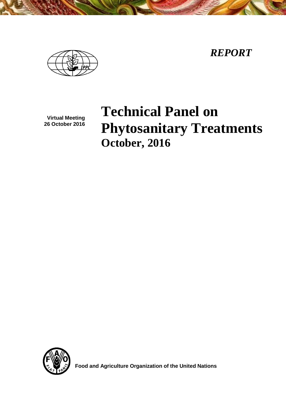*REPORT*



**Virtual Meeting 26 October 2016**

# **Technical Panel on Phytosanitary Treatments October, 2016**



 **Food and Agriculture Organization of the United Nations**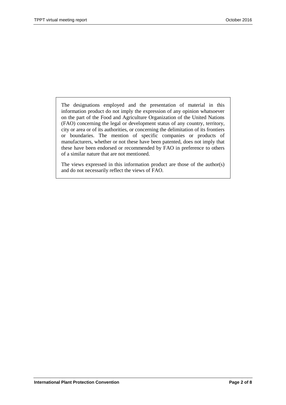The designations employed and the presentation of material in this information product do not imply the expression of any opinion whatsoever on the part of the Food and Agriculture Organization of the United Nations (FAO) concerning the legal or development status of any country, territory, city or area or of its authorities, or concerning the delimitation of its frontiers or boundaries. The mention of specific companies or products of manufacturers, whether or not these have been patented, does not imply that these have been endorsed or recommended by FAO in preference to others of a similar nature that are not mentioned.

The views expressed in this information product are those of the author(s) and do not necessarily reflect the views of FAO.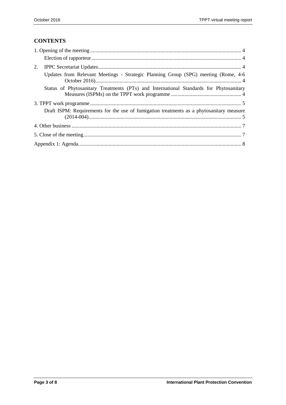# **CONTENTS**

| 2.                                                                                       |
|------------------------------------------------------------------------------------------|
| Updates from Relevant Meetings - Strategic Planning Group (SPG) meeting (Rome, 4-6       |
| Status of Phytosanitary Treatments (PTs) and International Standards for Phytosanitary   |
|                                                                                          |
| Draft ISPM: Requirements for the use of fumigation treatments as a phytosanitary measure |
|                                                                                          |
|                                                                                          |
|                                                                                          |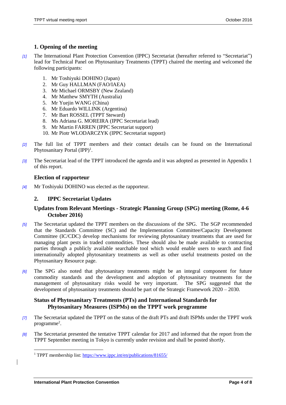#### <span id="page-3-0"></span>**1. Opening of the meeting**

- *[1]* The International Plant Protection Convention (IPPC) Secretariat (hereafter referred to "Secretariat") lead for Technical Panel on Phytosanitary Treatments (TPPT) chaired the meeting and welcomed the following participants:
	- 1. Mr Toshiyuki DOHINO (Japan)
	- 2. Mr Guy HALLMAN (FAO/IAEA)
	- 3. Mr Michael ORMSBY (New Zealand)
	- 4. Mr Matthew SMYTH (Australia)
	- 5. Mr Yuejin WANG (China)
	- 6. Mr Eduardo WILLINK (Argentina)
	- 7. Mr Bart ROSSEL (TPPT Steward)
	- 8. Ms Adriana G. MOREIRA (IPPC Secretariat lead)
	- 9. Mr Martin FARREN (IPPC Secretariat support)
	- 10. Mr Piotr WLODARCZYK (IPPC Secretariat support)
- *[2]* The full list of TPPT members and their contact details can be found on the International Phytosanitary Portal  $(IPP)^1$ .
- *[3]* The Secretariat lead of the TPPT introduced the agenda and it was adopted as presented in Appendix 1 of this report.

#### <span id="page-3-1"></span>**Election of rapporteur**

*[4]* Mr Toshiyuki DOHINO was elected as the rapporteur.

#### <span id="page-3-2"></span>**2. IPPC Secretariat Updates**

#### <span id="page-3-3"></span>**Updates from Relevant Meetings - Strategic Planning Group (SPG) meeting (Rome, 4-6 October 2016)**

- *[5]* The Secretariat updated the TPPT members on the discussions of the SPG. The SGP recommended that the Standards Committee (SC) and the Implementation Committee/Capacity Development Committee (IC/CDC) develop mechanisms for reviewing phytosanitary treatments that are used for managing plant pests in traded commodities. These should also be made available to contracting parties through a publicly available searchable tool which would enable users to search and find internationally adopted phytosanitary treatments as well as other useful treatments posted on the Phytosanitary Resource page.
- *[6]* The SPG also noted that phytosanitary treatments might be an integral component for future commodity standards and the development and adoption of phytosanitary treatments for the management of phytosanitary risks would be very important. The SPG suggested that the development of phytosanitary treatments should be part of the Strategic Framework 2020 – 2030.

#### <span id="page-3-4"></span>**Status of Phytosanitary Treatments (PTs) and International Standards for Phytosanitary Measures (ISPMs) on the TPPT work programme**

- *[7]* The Secretariat updated the TPPT on the status of the draft PTs and draft ISPMs under the TPPT work programme<sup>2</sup>.
- *[8]* The Secretariat presented the tentative TPPT calendar for 2017 and informed that the report from the TPPT September meeting in Tokyo is currently under revision and shall be posted shortly.

l

<sup>1</sup> TPPT membership list: https://www.ippc.int/en/publications/81655/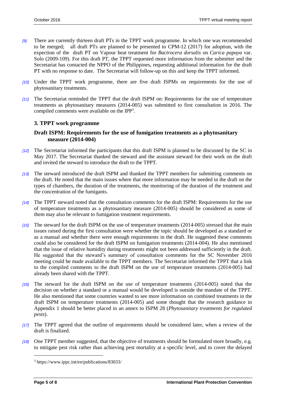- *[9]* There are currently thirteen draft PTs in the TPPT work programme. In which one was recommended to be merged; all draft PTs are planned to be presented to CPM-12 (2017) for adoption, with the expection of the draft PT on Vapour heat treatment for *Bactrocera dorsalis* on *Carica papaya* var. Solo (2009-109). For this draft PT, the TPPT requested more information from the submitter and the Secretariat has contacted the NPPO of the Philippines, requesting additional information for the draft PT with no response to date. The Secretariat will follow-up on this and keep the TPPT informed.
- *[10]* Under the TPPT work programme, there are five draft ISPMs on requirements for the use of phytosanitary treatments.
- *[11]* The Secretariat reminded the TPPT that the draft ISPM on: Requirements for the use of temperature treatments as phytosanitary measures (2014-005) was submitted to first consultation in 2016. The compiled comments were available on the IPP<sup>3</sup>.

#### <span id="page-4-0"></span>**3. TPPT work programme**

#### <span id="page-4-1"></span>**Draft ISPM: Requirements for the use of fumigation treatments as a phytosanitary measure (2014-004)**

- *[12]* The Secretariat informed the participants that this draft ISPM is planned to be discussed by the SC in May 2017. The Secretariat thanked the steward and the assistant steward for their work on the draft and invited the steward to introduce the draft to the TPPT.
- *[13]* The steward introduced the draft ISPM and thanked the TPPT members for submitting comments on the draft. He noted that the main issues where that more information may be needed in the draft on the types of chambers, the duration of the treatments, the monitoring of the duration of the treatment and the concentration of the fumigants.
- *[14]* The TPPT steward noted that the consultation comments for the draft ISPM: Requirements for the use of temperature treatments as a phytosanitary measure (2014-005) should be considered as some of them may also be relevant to fumigation treatment requirements.
- *[15]* The steward for the draft ISPM on the use of temperature treatments (2014-005) stressed that the main issues raised during the first consultation were whether the topic should be developed as a standard or as a manual and whether there were enough requirements in the draft. He suggested these comments could also be considered for the draft ISPM on fumigation treatments (2014-004). He also mentioned that the issue of relative humidity during treatments might not been addressed sufficiently in the draft. He suggested that the steward's summary of consultation comments for the SC November 2016 meeting could be made available to the TPPT members. The Secretariat informed the TPPT that a link to the compiled comments to the draft ISPM on the use of temperature treatments (2014-005) had already been shared with the TPPT.
- *[16]* The steward for the draft ISPM on the use of temperature treatments (2014-005) noted that the decision on whether a standard or a manual would be developed is outside the mandate of the TPPT. He also mentioned that some countries wanted to see more information on combined treatments in the draft ISPM on temperature treatments (2014-005) and some thought that the research guidance in Appendix 1 should be better placed in an annex to ISPM 28 (*Phytosanitary treatments for regulated pests*).
- *[17]* The TPPT agreed that the outline of requirements should be considered later, when a review of the draft is finalized.
- *[18]* One TPPT member suggested, that the objective of treatments should be formulated more broadly, e.g. to mitigate pest risk rather than achieving pest mortality at a specific level, and to cover the delayed

l

<sup>3</sup> https://www.ippc.int/en/publications/83033/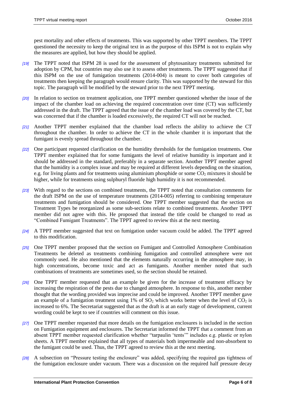pest mortality and other effects of treatments. This was supported by other TPPT members. The TPPT questioned the necessity to keep the original text in as the purpose of this ISPM is not to explain why the measures are applied, but how they should be applied.

- *[19]* The TPPT noted that ISPM 28 is used for the assessment of phytosanitary treatments submitted for adoption by CPM, but countries may also use it to assess other treatments. The TPPT suggested that if this ISPM on the use of fumigation treatments (2014-004) is meant to cover both categories of treatments then keeping the paragraph would ensure clarity. This was supported by the steward for this topic. The paragraph will be modified by the steward prior to the next TPPT meeting.
- *[20]* In relation to section on treatment application, one TPPT member questioned whether the issue of the impact of the chamber load on achieving the required concentration over time (CT) was sufficiently addressed in the draft. The TPPT agreed that the issue of the chamber load was covered by the CT, but was concerned that if the chamber is loaded excessively, the required CT will not be reached.
- *[21]* Another TPPT member explained that the chamber load reflects the ability to achieve the CT throughout the chamber. In order to achieve the CT in the whole chamber it is important that the fumigant is evenly spread throughout the chamber.
- *[22]* One participant requested clarification on the humidity thresholds for the fumigation treatments. One TPPT member explained that for some fumigants the level of relative humidity is important and it should be addressed in the standard, preferably in a separate section. Another TPPT member agreed that the humidity is a complex issue and may be required at different levels depending on the situation, e.g. for living plants and for treatments using aluminium phosphide or some CO<sub>2</sub> mixtures it should be higher, while for treatments using sulphuryl fluoride high humidity it is not recommended.
- *[23]* With regard to the sections on combined treatments, the TPPT noted that consultation comments for the draft ISPM on the use of temperature treatments (2014-005) referring to combining temperature treatments and fumigation should be considered. One TPPT member suggested that the section on Treatment Types be reorganized as some sub-sections relate to combined treatments. Another TPPT member did not agree with this. He proposed that instead the title could be changed to read as "Combined Fumigant Treatments". The TPPT agreed to review this at the next meeting.
- *[24]* A TPPT member suggested that text on fumigation under vacuum could be added. The TPPT agreed to this modification.
- *[25]* One TPPT member proposed that the section on Fumigant and Controlled Atmosphere Combination Treatments be deleted as treatments combining fumigation and controlled atmosphere were not commonly used. He also mentioned that the elements naturally occurring in the atmosphere may, in high concentrations, become toxic and act as fumigants. Another member noted that such combinations of treatments are sometimes used, so the section should be retained.
- *[26]* One TPPT member requested that an example be given for the increase of treatment efficacy by increasing the respiration of the pests due to changed atmosphere. In response to this, another member thought that the wording provided was imprecise and could be improved. Another TPPT member gave an example of a fumigation treatment using  $1\%$  of  $SO_2$  which works better when the level of  $CO_2$  is increased to 6%. The Secretariat suggested that as the draft is at an early stage of development, current wording could be kept to see if countries will comment on this issue.
- *[27]* One TPPT member requested that more details on the fumigation enclosures is included in the section on Fumigation equipment and enclosures. The Secretariat informed the TPPT that a comment from an absent TPPT member requested clarification whether "tarpaulin 'tents'" includes e.g. plastic or nylon sheets. A TPPT member explained that all types of materials both impermeable and non-absorbent to the fumigant could be used. Thus, the TPPT agreed to review this at the next meeting.
- *[28]* A subsection on "Pressure testing the enclosure" was added, specifying the required gas tightness of the fumigation enclosure under vacuum. There was a discussion on the required half pressure decay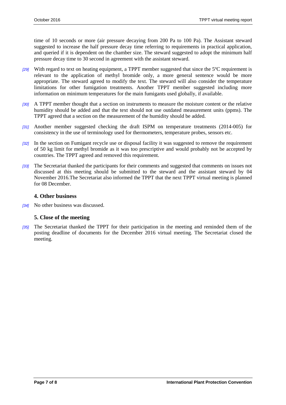time of 10 seconds or more (air pressure decaying from 200 Pa to 100 Pa). The Assistant steward suggested to increase the half pressure decay time referring to requirements in practical application, and queried if it is dependent on the chamber size. The steward suggested to adopt the minimum half pressure decay time to 30 second in agreement with the assistant steward.

- *[29]* With regard to text on heating equipment, a TPPT member suggested that since the 5ºC requirement is relevant to the application of methyl bromide only, a more general sentence would be more appropriate. The steward agreed to modify the text. The steward will also consider the temperature limitations for other fumigation treatments. Another TPPT member suggested including more information on minimum temperatures for the main fumigants used globally, if available.
- *[30]* A TPPT member thought that a section on instruments to measure the moisture content or the relative humidity should be added and that the text should not use outdated measurement units (ppms). The TPPT agreed that a section on the measurement of the humidity should be added.
- *[31]* Another member suggested checking the draft ISPM on temperature treatments (2014-005) for consistency in the use of terminology used for thermometers, temperature probes, sensors etc.
- *[32]* In the section on Fumigant recycle use or disposal facility it was suggested to remove the requirement of 50 kg limit for methyl bromide as it was too prescriptive and would probably not be accepted by countries. The TPPT agreed and removed this requirement.
- *[33]* The Secretariat thanked the participants for their comments and suggested that comments on issues not discussed at this meeting should be submitted to the steward and the assistant steward by 04 November 2016.The Secretariat also informed the TPPT that the next TPPT virtual meeting is planned for 08 December.

#### <span id="page-6-0"></span>**4. Other business**

*[34]* No other business was discussed.

#### <span id="page-6-1"></span>**5. Close of the meeting**

*[35]* The Secretariat thanked the TPPT for their participation in the meeting and reminded them of the posting deadline of documents for the December 2016 virtual meeting. The Secretariat closed the meeting.